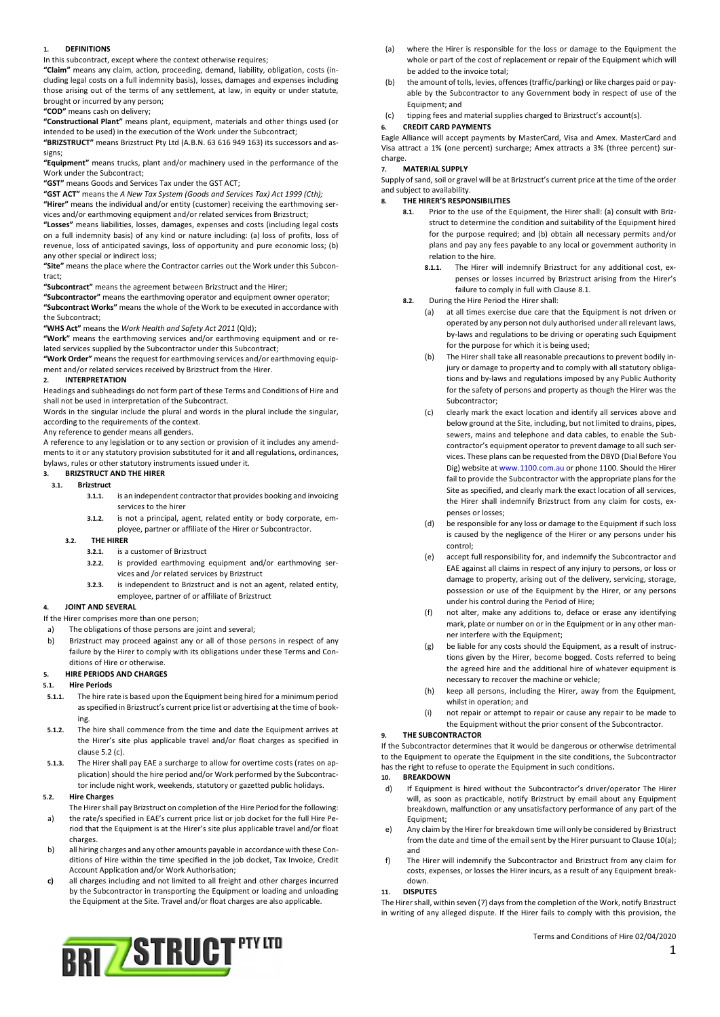## 1. DEFINITIONS

In this subcontract, except where the context otherwise requires;

"Claim" means any claim, action, proceeding, demand, liability, obligation, costs (including legal costs on a full indemnity basis), losses, damages and expenses including those arising out of the terms of any settlement, at law, in equity or under statute, brought or incurred by any person;

"COD" means cash on delivery;

"Constructional Plant" means plant, equipment, materials and other things used (or intended to be used) in the execution of the Work under the Subcontract;

"BRIZSTRUCT" means Brizstruct Pty Ltd (A.B.N. 63 616 949 163) its successors and assigns;

"Equipment" means trucks, plant and/or machinery used in the performance of the Work under the Subcontract;

"GST" means Goods and Services Tax under the GST ACT;

"GST ACT" means the A New Tax System (Goods and Services Tax) Act 1999 (Cth);

"Hirer" means the individual and/or entity (customer) receiving the earthmoving services and/or earthmoving equipment and/or related services from Brizstruct;

"Losses" means liabilities, losses, damages, expenses and costs (including legal costs on a full indemnity basis) of any kind or nature including: (a) loss of profits, loss of revenue, loss of anticipated savings, loss of opportunity and pure economic loss; (b) any other special or indirect loss;

"Site" means the place where the Contractor carries out the Work under this Subcontract;

"Subcontract" means the agreement between Brizstruct and the Hirer;

"Subcontractor" means the earthmoving operator and equipment owner operator; "Subcontract Works" means the whole of the Work to be executed in accordance with the Subcontract;

"WHS Act" means the Work Health and Safety Act 2011 (Qld);

"Work" means the earthmoving services and/or earthmoving equipment and or related services supplied by the Subcontractor under this Subcontract;

"Work Order" means the request for earthmoving services and/or earthmoving equipment and/or related services received by Brizstruct from the Hirer.

### 2. INTERPRETATION

Headings and subheadings do not form part of these Terms and Conditions of Hire and shall not be used in interpretation of the Subcontract.

Words in the singular include the plural and words in the plural include the singular, according to the requirements of the context.

Any reference to gender means all genders.

A reference to any legislation or to any section or provision of it includes any amendments to it or any statutory provision substituted for it and all regulations, ordinances, bylaws, rules or other statutory instruments issued under it.

### 3. BRIZSTRUCT AND THE HIRER

## 3.1. Brizstruct

- 3.1.1. is an independent contractor that provides booking and invoicing services to the hirer
- 3.1.2. is not a principal, agent, related entity or body corporate, employee, partner or affiliate of the Hirer or Subcontractor.

#### 3.2. THE HIRER

- 3.2.1. is a customer of Brizstruct
- 3.2.2. is provided earthmoving equipment and/or earthmoving services and /or related services by Brizstruct
- 3.2.3. is independent to Brizstruct and is not an agent, related entity, employee, partner of or affiliate of Brizstruct

## 4. JOINT AND SEVERAL

If the Hirer comprises more than one person;

- a) The obligations of those persons are joint and several;
- b) Brizstruct may proceed against any or all of those persons in respect of any failure by the Hirer to comply with its obligations under these Terms and Conditions of Hire or otherwise.

#### 5. HIRE PERIODS AND CHARGES

### 5.1. Hire Periods

- 5.1.1. The hire rate is based upon the Equipment being hired for a minimum period as specified in Brizstruct's current price list or advertising at the time of booking.
- 5.1.2. The hire shall commence from the time and date the Equipment arrives at the Hirer's site plus applicable travel and/or float charges as specified in clause 5.2 (c).
- 5.1.3. The Hirer shall pay EAE a surcharge to allow for overtime costs (rates on application) should the hire period and/or Work performed by the Subcontractor include night work, weekends, statutory or gazetted public holidays.

## 5.2. Hire Charges

The Hirer shall pay Brizstruct on completion of the Hire Period for the following: a) the rate/s specified in EAE's current price list or job docket for the full Hire Pe-

- riod that the Equipment is at the Hirer's site plus applicable travel and/or float charges.
- b) all hiring charges and any other amounts payable in accordance with these Conditions of Hire within the time specified in the job docket, Tax Invoice, Credit Account Application and/or Work Authorisation;
- c) all charges including and not limited to all freight and other charges incurred by the Subcontractor in transporting the Equipment or loading and unloading the Equipment at the Site. Travel and/or float charges are also applicable.



- (a) where the Hirer is responsible for the loss or damage to the Equipment the whole or part of the cost of replacement or repair of the Equipment which will be added to the invoice total;
- (b) the amount of tolls, levies, offences (traffic/parking) or like charges paid or payable by the Subcontractor to any Government body in respect of use of the Equipment; and
- (c) tipping fees and material supplies charged to Brizstruct's account(s).

### 6. CREDIT CARD PAYMENTS

Eagle Alliance will accept payments by MasterCard, Visa and Amex. MasterCard and Visa attract a 1% (one percent) surcharge; Amex attracts a 3% (three percent) surcharge.

### **MATERIAL SUPPLY**

Supply of sand, soil or gravel will be at Brizstruct's current price at the time of the order and subject to availability.

#### 8. THE HIRER'S RESPONSIBILITIES

- 8.1. Prior to the use of the Equipment, the Hirer shall: (a) consult with Brizstruct to determine the condition and suitability of the Equipment hired for the purpose required; and (b) obtain all necessary permits and/or plans and pay any fees payable to any local or government authority in relation to the hire.
	- 8.1.1. The Hirer will indemnify Brizstruct for any additional cost, expenses or losses incurred by Brizstruct arising from the Hirer's failure to comply in full with Clause 8.1.
- 8.2. During the Hire Period the Hirer shall:
	- (a) at all times exercise due care that the Equipment is not driven or operated by any person not duly authorised under all relevant laws, by-laws and regulations to be driving or operating such Equipment for the purpose for which it is being used;
	- (b) The Hirer shall take all reasonable precautions to prevent bodily injury or damage to property and to comply with all statutory obligations and by-laws and regulations imposed by any Public Authority for the safety of persons and property as though the Hirer was the Subcontractor;
	- (c) clearly mark the exact location and identify all services above and below ground at the Site, including, but not limited to drains, pipes, sewers, mains and telephone and data cables, to enable the Subcontractor's equipment operator to prevent damage to all such services. These plans can be requested from the DBYD (Dial Before You Dig) website at www.1100.com.au or phone 1100. Should the Hirer fail to provide the Subcontractor with the appropriate plans for the Site as specified, and clearly mark the exact location of all services, the Hirer shall indemnify Brizstruct from any claim for costs, expenses or losses;
	- (d) be responsible for any loss or damage to the Equipment if such loss is caused by the negligence of the Hirer or any persons under his control;
	- (e) accept full responsibility for, and indemnify the Subcontractor and EAE against all claims in respect of any injury to persons, or loss or damage to property, arising out of the delivery, servicing, storage, possession or use of the Equipment by the Hirer, or any persons under his control during the Period of Hire;
	- (f) not alter, make any additions to, deface or erase any identifying mark, plate or number on or in the Equipment or in any other manner interfere with the Equipment;
	- (g) be liable for any costs should the Equipment, as a result of instructions given by the Hirer, become bogged. Costs referred to being the agreed hire and the additional hire of whatever equipment is necessary to recover the machine or vehicle;
	- (h) keep all persons, including the Hirer, away from the Equipment, whilst in operation; and
	- (i) not repair or attempt to repair or cause any repair to be made to the Equipment without the prior consent of the Subcontractor.

### THE SUBCONTRACTOR

If the Subcontractor determines that it would be dangerous or otherwise detrimental to the Equipment to operate the Equipment in the site conditions, the Subcontractor has the right to refuse to operate the Equipment in such conditions.

### 10. BREAKDOWN

- d) If Equipment is hired without the Subcontractor's driver/operator The Hirer will, as soon as practicable, notify Brizstruct by email about any Equipment breakdown, malfunction or any unsatisfactory performance of any part of the Equipment;
- e) Any claim by the Hirer for breakdown time will only be considered by Brizstruct from the date and time of the email sent by the Hirer pursuant to Clause 10(a); and
- f) The Hirer will indemnify the Subcontractor and Brizstruct from any claim for costs, expenses, or losses the Hirer incurs, as a result of any Equipment breakdown.

### 11. DISPUTES

The Hirer shall, within seven (7) days from the completion of the Work, notify Brizstruct in writing of any alleged dispute. If the Hirer fails to comply with this provision, the

Terms and Conditions of Hire 02/04/2020